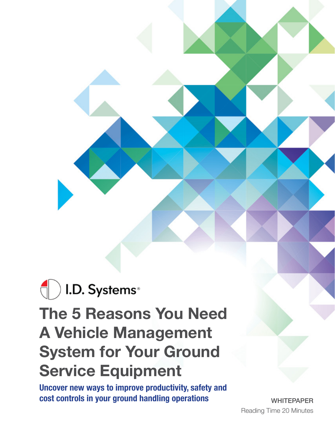# ) I.D. Systems® **The 5 Reasons You Need A Vehicle Management System for Your Ground Service Equipment**

**Uncover new ways to improve productivity, safety and cost controls in your ground handling operations**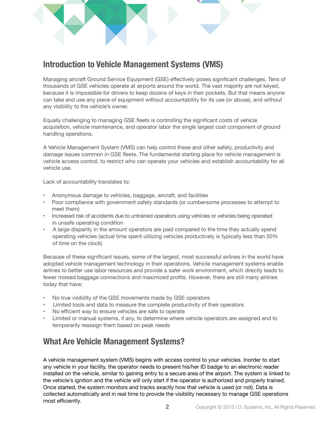

# **Introduction to Vehicle Management Systems (VMS)**

Managing aircraft Ground Service Equipment (GSE) effectively poses significant challenges. Tens of thousands of GSE vehicles operate at airports around the world. The vast majority are not keyed, because it is impossible for drivers to keep dozens of keys in their pockets. But that means anyone can take and use any piece of equipment without accountability for its use (or abuse), and without any visibility to the vehicle's owner.

Equally challenging to managing GSE fleets is controlling the significant costs of vehicle acquisition, vehicle maintenance, and operator labor the single largest cost component of ground handling operations.

A Vehicle Management System (VMS) can help control these and other safety, productivity and damage issues common in GSE fleets. The fundamental starting place for vehicle management is vehicle access control, to restrict who can operate your vehicles and establish accountability for all vehicle use.

Lack of accountability translates to:

- Anonymous damage to vehicles, baggage, aircraft, and facilities
- Poor compliance with government safety standards (or cumbersome processes to attempt to meet them)
- Increased risk of accidents due to untrained operators using vehicles or vehicles being operated in unsafe operating condition
- A large disparity in the amount operators are paid compared to the time they actually spend operating vehicles (actual time spent utilizing vehicles productively is typically less than 50% of time on the clock)

Because of these significant issues, some of the largest, most successful airlines in the world have adopted vehicle management technology in their operations. Vehicle management systems enable airlines to better use labor resources and provide a safer work environment, which directly leads to fewer missed baggage connections and maximized profits. However, there are still many airlines today that have:

- No true visibility of the GSE movements made by GSE operators
- Limited tools and data to measure the complete productivity of their operators
- No efficient way to ensure vehicles are safe to operate
- Limited or manual systems, if any, to determine where vehicle operators are assigned and to temporarily reassign them based on peak needs

# **What Are Vehicle Management Systems?**

A vehicle management system (VMS) begins with access control to your vehicles. Inorder to start any vehicle in your facility, the operator needs to present his/her ID badge to an electronic reader installed on the vehicle, similar to gaining entry to a secure area of the airport. The system is linked to the vehicle's ignition and the vehicle will only start if the operator is authorized and properly trained. Once started, the system monitors and tracks exactly how that vehicle is used (or not). Data is collected automatically and in real time to provide the visibility necessary to manage GSE operations most efficiently.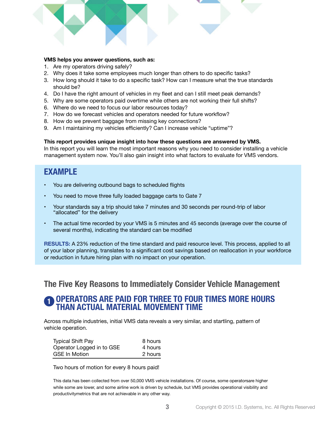#### **VMS helps you answer questions, such as:**

- 1. Are my operators driving safely?
- 2. Why does it take some employees much longer than others to do specific tasks?
- 3. How long should it take to do a specific task? How can I measure what the true standards should be?
- 4. Do I have the right amount of vehicles in my fleet and can I still meet peak demands?
- 5. Why are some operators paid overtime while others are not working their full shifts?
- 6. Where do we need to focus our labor resources today?
- 7. How do we forecast vehicles and operators needed for future workflow?
- 8. How do we prevent baggage from missing key connections?
- 9. Am I maintaining my vehicles efficiently? Can I increase vehicle "uptime"?

#### **This report provides unique insight into how these questions are answered by VMS.**

In this report you will learn the most important reasons why you need to consider installing a vehicle management system now. You'll also gain insight into what factors to evaluate for VMS vendors.

### **EXAMPLE**

- You are delivering outbound bags to scheduled flights
- You need to move three fully loaded baggage carts to Gate 7
- Your standards say a trip should take 7 minutes and 30 seconds per round-trip of labor "allocated" for the delivery
- The actual time recorded by your VMS is 5 minutes and 45 seconds (average over the course of several months), indicating the standard can be modified

**RESULTS:** A 23% reduction of the time standard and paid resource level. This process, applied to all of your labor planning, translates to a significant cost savings based on reallocation in your workforce or reduction in future hiring plan with no impact on your operation.

### **The Five Key Reasons to Immediately Consider Vehicle Management**

#### **OPERATORS ARE PAID FOR THREE TO FOUR TIMES MORE HOURS THAN ACTUAL MATERIAL MOVEMENT TIME 1**

Across multiple industries, initial VMS data reveals a very similar, and startling, pattern of vehicle operation.

| <b>Typical Shift Pay</b>  | 8 hours |
|---------------------------|---------|
| Operator Logged in to GSE | 4 hours |
| <b>GSE In Motion</b>      | 2 hours |

Two hours of motion for every 8 hours paid!

This data has been collected from over 50,000 VMS vehicle installations. Of course, some operatorsare higher while some are lower, and some airline work is driven by schedule, but VMS provides operational visibility and productivitymetrics that are not achievable in any other way.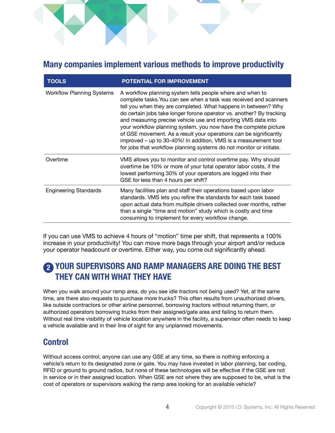### **Many companies implement various methods to improve productivity**

| <b>TOOLS</b>                     | POTENTIAL FOR IMPROVEMENT                                                                                                                                                                                                                                                                                                                                                                                                                                                                                                                                                                                                    |
|----------------------------------|------------------------------------------------------------------------------------------------------------------------------------------------------------------------------------------------------------------------------------------------------------------------------------------------------------------------------------------------------------------------------------------------------------------------------------------------------------------------------------------------------------------------------------------------------------------------------------------------------------------------------|
| <b>Workflow Planning Systems</b> | A workflow planning system tells people where and when to<br>complete tasks. You can see when a task was received and scanners<br>tell you when they are completed. What happens in between? Why<br>do certain jobs take longer forone operator vs. another? By tracking<br>and measuring precise vehicle use and importing VMS data into<br>your workflow planning system, you now have the complete picture<br>of GSE movement. As a result your operations can be significantly<br>improved – up to 30-40%! In addition, VMS is a measurement tool<br>for jobs that workflow planning systems do not monitor or initiate. |
| Overtime                         | VMS allows you to monitor and control overtime pay. Why should<br>overtime be 10% or more of your total operator labor costs, if the<br>lowest performing 30% of your operators are logged into their<br>GSE for less than 4 hours per shift?                                                                                                                                                                                                                                                                                                                                                                                |
| <b>Engineering Standards</b>     | Many facilities plan and staff their operations based upon labor<br>standards. VMS lets you refine the standards for each task based<br>upon actual data from multiple drivers collected over months, rather<br>than a single "time and motion" study which is costly and time<br>consuming to implement for every workflow change.                                                                                                                                                                                                                                                                                          |

If you can use VMS to achieve 4 hours of "motion" time per shift, that represents a 100% increase in your productivity! You can move more bags through your airport and/or reduce your operator headcount or overtime. Either way, you come out significantly ahead.

# **YOUR SUPERVISORS AND RAMP MANAGERS ARE DOING THE BEST 2THEY CAN WITH WHAT THEY HAVE**

When you walk around your ramp area, do you see idle tractors not being used? Yet, at the same time, are there also requests to purchase more trucks? This often results from unauthorized drivers, like outside contractors or other airline personnel, borrowing tractors without returning them, or authorized operators borrowing trucks from their assigned/gate area and failing to return them. Without real time visibility of vehicle location anywhere in the facility, a supervisor often needs to keep a vehicle available and in their line of sight for any unplanned movements.

# **Control**

Without access control, anyone can use any GSE at any time, so there is nothing enforcing a vehicle's return to its designated zone or gate. You may have invested in labor planning, bar coding, RFID or ground to ground radios, but none of these technologies will be effective if the GSE are not in service or in their assigned location. When GSE are not where they are supposed to be, what is the cost of operators or supervisors walking the ramp area looking for an available vehicle?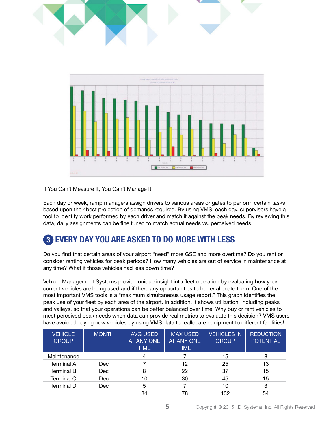

#### If You Can't Measure It, You Can't Manage It

Each day or week, ramp managers assign drivers to various areas or gates to perform certain tasks based upon their best projection of demands required. By using VMS, each day, supervisors have a tool to identify work performed by each driver and match it against the peak needs. By reviewing this data, daily assignments can be fine tuned to match actual needs vs. perceived needs.

# **EVERY DAY YOU ARE ASKED TO DO MORE WITH LESS 3**

Do you find that certain areas of your airport "need" more GSE and more overtime? Do you rent or consider renting vehicles for peak periods? How many vehicles are out of service in maintenance at any time? What if those vehicles had less down time?

Vehicle Management Systems provide unique insight into fleet operation by evaluating how your current vehicles are being used and if there any opportunities to better allocate them. One of the most important VMS tools is a "maximum simultaneous usage report." This graph identifies the peak use of your fleet by each area of the airport. In addition, it shows utilization, including peaks and valleys, so that your operations can be better balanced over time. Why buy or rent vehicles to meet perceived peak needs when data can provide real metrics to evaluate this decision? VMS users have avoided buying new vehicles by using VMS data to reallocate equipment to different facilities!

| <b>VEHICLE</b><br><b>GROUP</b> | <b>MONTH</b> | <b>AVG USED</b><br>AT ANY ONE<br><b>TIME</b> | <b>MAX USED</b><br>AT ANY ONE<br><b>TIME</b> | <b>VEHICLES IN</b><br><b>GROUP</b> | <b>REDUCTION</b><br><b>POTENTIAL</b> |
|--------------------------------|--------------|----------------------------------------------|----------------------------------------------|------------------------------------|--------------------------------------|
| Maintenance                    |              |                                              |                                              | 15                                 | 8                                    |
| <b>Terminal A</b>              | Dec          |                                              | 12                                           | 25                                 | 13                                   |
| <b>Terminal B</b>              | <b>Dec</b>   |                                              | 22                                           | 37                                 | 15                                   |
| Terminal C                     | <b>Dec</b>   | 10                                           | 30                                           | 45                                 | 15                                   |
| Terminal D                     | Dec          | 5                                            |                                              | 10                                 | 3                                    |
|                                |              | 34                                           | 78                                           | 132                                | 54                                   |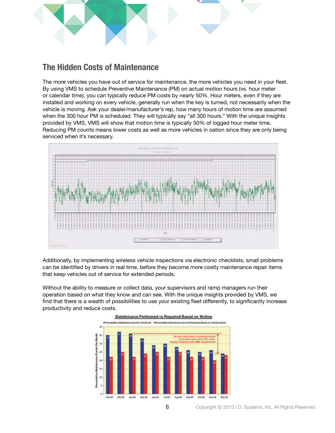

### **The Hidden Costs of Maintenance**

The more vehicles you have out of service for maintenance, the more vehicles you need in your fleet. By using VMS to schedule Preventive Maintenance (PM) on actual motion hours (vs. hour meter or calendar time), you can typically reduce PM costs by nearly 50%. Hour meters, even if they are installed and working on every vehicle, generally run when the key is turned, not necessarily when the vehicle is moving. Ask your dealer/manufacturer's rep, how many hours of motion time are assumed when the 300 hour PM is scheduled. They will typically say "all 300 hours." With the unique insights provided by VMS, VMS will show that motion time is typically 50% of logged hour meter time. Reducing PM counts means lower costs as well as more vehicles in oation since they are only being serviced when it's necessary.



Additionally, by implementing wireless vehicle inspections via electronic checklists, small problems can be identified by drivers in real time, before they become more costly maintenance repair items that keep vehicles out of service for extended periods.

Without the ability to measure or collect data, your supervisors and ramp managers run their operation based on what they know and can see. With the unique insights provided by VMS, we find that there is a wealth of possibilities to use your existing fleet differently, to significantly increase productivity and reduce costs.

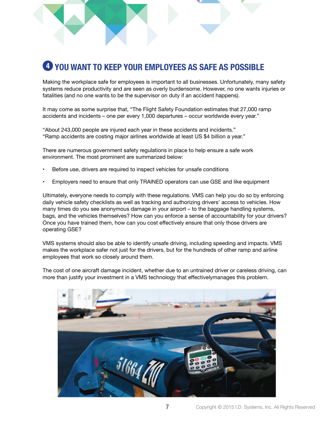# **YOU WANT TO KEEP YOUR EMPLOYEES AS SAFE AS POSSIBLE 4**

Making the workplace safe for employees is important to all businesses. Unfortunately, many safety systems reduce productivity and are seen as overly burdensome. However, no one wants injuries or fatalities (and no one wants to be the supervisor on duty if an accident happens).

It may come as some surprise that, "The Flight Safety Foundation estimates that 27,000 ramp accidents and incidents – one per every 1,000 departures – occur worldwide every year."

"About 243,000 people are injured each year in these accidents and incidents." "Ramp accidents are costing major airlines worldwide at least US \$4 billion a year."

There are numerous government safety regulations in place to help ensure a safe work environment. The most prominent are summarized below:

- Before use, drivers are required to inspect vehicles for unsafe conditions
- Employers need to ensure that only TRAINED operators can use GSE and like equipment

Ultimately, everyone needs to comply with these regulations. VMS can help you do so by enforcing daily vehicle safety checklists as well as tracking and authorizing drivers' access to vehicles. How many times do you see anonymous damage in your airport – to the baggage handling systems, bags, and the vehicles themselves? How can you enforce a sense of accountability for your drivers? Once you have trained them, how can you cost effectively ensure that only those drivers are operating GSE?

VMS systems should also be able to identify unsafe driving, including speeding and impacts. VMS makes the workplace safer not just for the drivers, but for the hundreds of other ramp and airline employees that work so closely around them.

The cost of one aircraft damage incident, whether due to an untrained driver or careless driving, can more than justify your investment in a VMS technology that effectivelymanages this problem.

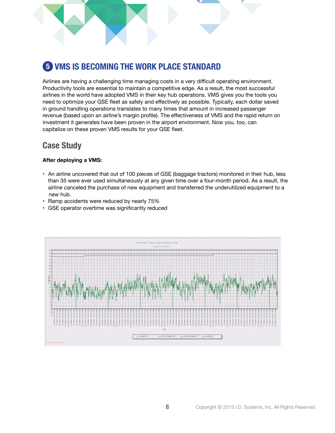

Airlines are having a challenging time managing costs in a very difficult operating environment. Productivity tools are essential to maintain a competitive edge. As a result, the most successful airlines in the world have adopted VMS in their key hub operations. VMS gives you the tools you need to optimize your GSE fleet as safely and effectively as possible. Typically, each dollar saved in ground handling operations translates to many times that amount in increased passenger revenue (based upon an airline's margin profile). The effectiveness of VMS and the rapid return on investment it generates have been proven in the airport environment. Now you, too, can capitalize on these proven VMS results for your GSE fleet.

### **Case Study**

#### **After deploying a VMS:**

- An airline uncovered that out of 100 pieces of GSE (baggage tractors) monitored in their hub, less than 35 were ever used simultaneously at any given time over a four-month period. As a result, the airline canceled the purchase of new equipment and transferred the underutilized equipment to a new hub.
- Ramp accidents were reduced by nearly 75%
- GSE operator overtime was significantly reduced

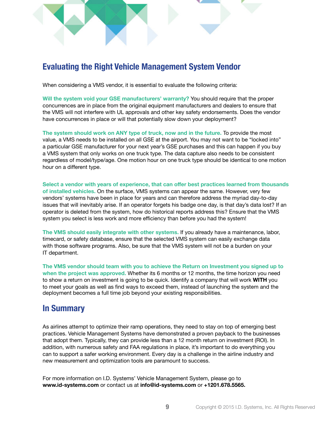### **Evaluating the Right Vehicle Management System Vendor**

When considering a VMS vendor, it is essential to evaluate the following criteria:

**Will the system void your GSE manufacturers' warranty?** You should require that the proper concurrences are in place from the original equipment manufacturers and dealers to ensure that the VMS will not interfere with UL approvals and other key safety endorsements. Does the vendor have concurrences in place or will that potentially slow down your deployment?

**The system should work on ANY type of truck, now and in the future.** To provide the most value, a VMS needs to be installed on all GSE at the airport. You may not want to be "locked into" a particular GSE manufacturer for your next year's GSE purchases and this can happen if you buy a VMS system that only works on one truck type. The data capture also needs to be consistent regardless of model/type/age. One motion hour on one truck type should be identical to one motion hour on a different type.

**Select a vendor with years of experience, that can offer best practices learned from thousands of installed vehicles.** On the surface, VMS systems can appear the same. However, very few vendors' systems have been in place for years and can therefore address the myriad day-to-day issues that will inevitably arise. If an operator forgets his badge one day, is that day's data lost? If an operator is deleted from the system, how do historical reports address this? Ensure that the VMS system you select is less work and more efficiency than before you had the system!

**The VMS should easily integrate with other systems.** If you already have a maintenance, labor, timecard, or safety database, ensure that the selected VMS system can easily exchange data with those software programs. Also, be sure that the VMS system will not be a burden on your IT department.

**The VMS vendor should team with you to achieve the Return on Investment you signed up to when the project was approved.** Whether its 6 months or 12 months, the time horizon you need to show a return on investment is going to be quick. Identify a company that will work **WITH** you to meet your goals as well as find ways to exceed them, instead of launching the system and the deployment becomes a full time job beyond your existing responsibilities.

### **In Summary**

As airlines attempt to optimize their ramp operations, they need to stay on top of emerging best practices. Vehicle Management Systems have demonstrated a proven payback to the businesses that adopt them. Typically, they can provide less than a 12 month return on investment (ROI). In addition, with numerous safety and FAA regulations in place, it's important to do everything you can to support a safer working environment. Every day is a challenge in the airline industry and new measurement and optimization tools are paramount to success.

For more information on I.D. Systems' Vehicle Management System, please go to **www.id-systems.com** or contact us at **info@id-systems.com** or **+1201.678.5565.**